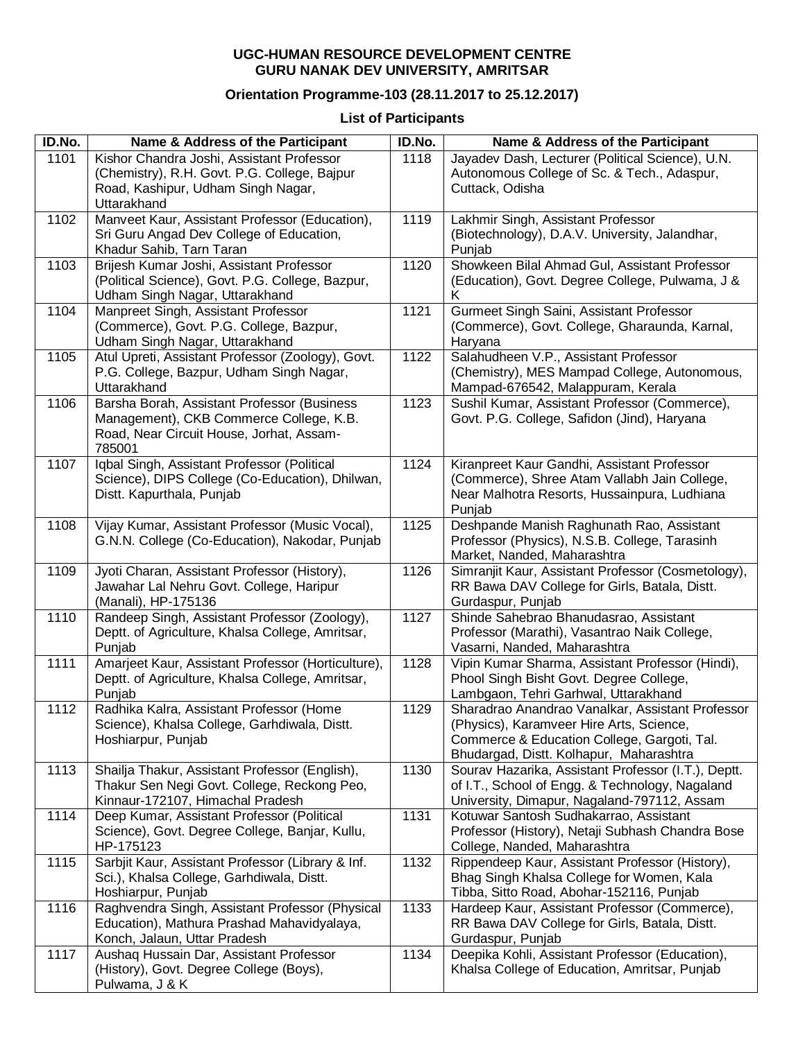## **UGC-HUMAN RESOURCE DEVELOPMENT CENTRE GURU NANAK DEV UNIVERSITY, AMRITSAR**

## **Orientation Programme-103 (28.11.2017 to 25.12.2017)**

## **List of Participants**

| ID.No. | Name & Address of the Participant                                                                                                              | ID.No. | Name & Address of the Participant                                                                                                                                                      |
|--------|------------------------------------------------------------------------------------------------------------------------------------------------|--------|----------------------------------------------------------------------------------------------------------------------------------------------------------------------------------------|
| 1101   | Kishor Chandra Joshi, Assistant Professor<br>(Chemistry), R.H. Govt. P.G. College, Bajpur<br>Road, Kashipur, Udham Singh Nagar,<br>Uttarakhand | 1118   | Jayadev Dash, Lecturer (Political Science), U.N.<br>Autonomous College of Sc. & Tech., Adaspur,<br>Cuttack, Odisha                                                                     |
| 1102   | Manveet Kaur, Assistant Professor (Education),<br>Sri Guru Angad Dev College of Education,<br>Khadur Sahib, Tarn Taran                         | 1119   | Lakhmir Singh, Assistant Professor<br>(Biotechnology), D.A.V. University, Jalandhar,<br>Punjab                                                                                         |
| 1103   | Brijesh Kumar Joshi, Assistant Professor<br>(Political Science), Govt. P.G. College, Bazpur,<br>Udham Singh Nagar, Uttarakhand                 | 1120   | Showkeen Bilal Ahmad Gul, Assistant Professor<br>(Education), Govt. Degree College, Pulwama, J &<br>Κ                                                                                  |
| 1104   | Manpreet Singh, Assistant Professor<br>(Commerce), Govt. P.G. College, Bazpur,<br>Udham Singh Nagar, Uttarakhand                               | 1121   | Gurmeet Singh Saini, Assistant Professor<br>(Commerce), Govt. College, Gharaunda, Karnal,<br>Haryana                                                                                   |
| 1105   | Atul Upreti, Assistant Professor (Zoology), Govt.<br>P.G. College, Bazpur, Udham Singh Nagar,<br>Uttarakhand                                   | 1122   | Salahudheen V.P., Assistant Professor<br>(Chemistry), MES Mampad College, Autonomous,<br>Mampad-676542, Malappuram, Kerala                                                             |
| 1106   | Barsha Borah, Assistant Professor (Business<br>Management), CKB Commerce College, K.B.<br>Road, Near Circuit House, Jorhat, Assam-<br>785001   | 1123   | Sushil Kumar, Assistant Professor (Commerce),<br>Govt. P.G. College, Safidon (Jind), Haryana                                                                                           |
| 1107   | Iqbal Singh, Assistant Professor (Political<br>Science), DIPS College (Co-Education), Dhilwan,<br>Distt. Kapurthala, Punjab                    | 1124   | Kiranpreet Kaur Gandhi, Assistant Professor<br>(Commerce), Shree Atam Vallabh Jain College,<br>Near Malhotra Resorts, Hussainpura, Ludhiana<br>Punjab                                  |
| 1108   | Vijay Kumar, Assistant Professor (Music Vocal),<br>G.N.N. College (Co-Education), Nakodar, Punjab                                              | 1125   | Deshpande Manish Raghunath Rao, Assistant<br>Professor (Physics), N.S.B. College, Tarasinh<br>Market, Nanded, Maharashtra                                                              |
| 1109   | Jyoti Charan, Assistant Professor (History),<br>Jawahar Lal Nehru Govt. College, Haripur<br>(Manali), HP-175136                                | 1126   | Simranjit Kaur, Assistant Professor (Cosmetology),<br>RR Bawa DAV College for Girls, Batala, Distt.<br>Gurdaspur, Punjab                                                               |
| 1110   | Randeep Singh, Assistant Professor (Zoology),<br>Deptt. of Agriculture, Khalsa College, Amritsar,<br>Punjab                                    | 1127   | Shinde Sahebrao Bhanudasrao, Assistant<br>Professor (Marathi), Vasantrao Naik College,<br>Vasarni, Nanded, Maharashtra                                                                 |
| 1111   | Amarjeet Kaur, Assistant Professor (Horticulture),<br>Deptt. of Agriculture, Khalsa College, Amritsar,<br>Punjab                               | 1128   | Vipin Kumar Sharma, Assistant Professor (Hindi),<br>Phool Singh Bisht Govt. Degree College,<br>Lambgaon, Tehri Garhwal, Uttarakhand                                                    |
| 1112   | Radhika Kalra, Assistant Professor (Home<br>Science), Khalsa College, Garhdiwala, Distt.<br>Hoshiarpur, Punjab                                 | 1129   | Sharadrao Anandrao Vanalkar, Assistant Professor<br>(Physics), Karamveer Hire Arts, Science,<br>Commerce & Education College, Gargoti, Tal.<br>Bhudargad, Distt. Kolhapur, Maharashtra |
| 1113   | Shailja Thakur, Assistant Professor (English),<br>Thakur Sen Negi Govt. College, Reckong Peo,<br>Kinnaur-172107, Himachal Pradesh              | 1130   | Sourav Hazarika, Assistant Professor (I.T.), Deptt.<br>of I.T., School of Engg. & Technology, Nagaland<br>University, Dimapur, Nagaland-797112, Assam                                  |
| 1114   | Deep Kumar, Assistant Professor (Political<br>Science), Govt. Degree College, Banjar, Kullu,<br>HP-175123                                      | 1131   | Kotuwar Santosh Sudhakarrao, Assistant<br>Professor (History), Netaji Subhash Chandra Bose<br>College, Nanded, Maharashtra                                                             |
| 1115   | Sarbjit Kaur, Assistant Professor (Library & Inf.<br>Sci.), Khalsa College, Garhdiwala, Distt.<br>Hoshiarpur, Punjab                           | 1132   | Rippendeep Kaur, Assistant Professor (History),<br>Bhag Singh Khalsa College for Women, Kala<br>Tibba, Sitto Road, Abohar-152116, Punjab                                               |
| 1116   | Raghvendra Singh, Assistant Professor (Physical<br>Education), Mathura Prashad Mahavidyalaya,<br>Konch, Jalaun, Uttar Pradesh                  | 1133   | Hardeep Kaur, Assistant Professor (Commerce),<br>RR Bawa DAV College for Girls, Batala, Distt.<br>Gurdaspur, Punjab                                                                    |
| 1117   | Aushaq Hussain Dar, Assistant Professor<br>(History), Govt. Degree College (Boys),<br>Pulwama, J & K                                           | 1134   | Deepika Kohli, Assistant Professor (Education),<br>Khalsa College of Education, Amritsar, Punjab                                                                                       |